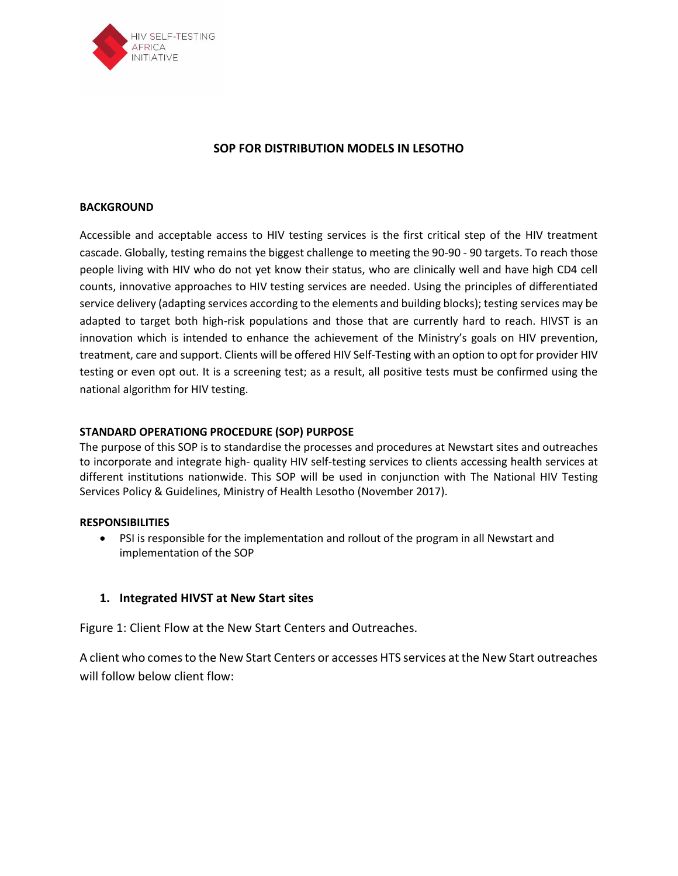

### **SOP FOR DISTRIBUTION MODELS IN LESOTHO**

#### **BACKGROUND**

Accessible and acceptable access to HIV testing services is the first critical step of the HIV treatment cascade. Globally, testing remains the biggest challenge to meeting the 90-90 - 90 targets. To reach those people living with HIV who do not yet know their status, who are clinically well and have high CD4 cell counts, innovative approaches to HIV testing services are needed. Using the principles of differentiated service delivery (adapting services according to the elements and building blocks); testing services may be adapted to target both high-risk populations and those that are currently hard to reach. HIVST is an innovation which is intended to enhance the achievement of the Ministry's goals on HIV prevention, treatment, care and support. Clients will be offered HIV Self-Testing with an option to opt for provider HIV testing or even opt out. It is a screening test; as a result, all positive tests must be confirmed using the national algorithm for HIV testing.

#### **STANDARD OPERATIONG PROCEDURE (SOP) PURPOSE**

The purpose of this SOP is to standardise the processes and procedures at Newstart sites and outreaches to incorporate and integrate high- quality HIV self-testing services to clients accessing health services at different institutions nationwide. This SOP will be used in conjunction with The National HIV Testing Services Policy & Guidelines, Ministry of Health Lesotho (November 2017).

#### **RESPONSIBILITIES**

• PSI is responsible for the implementation and rollout of the program in all Newstart and implementation of the SOP

#### **1. Integrated HIVST at New Start sites**

Figure 1: Client Flow at the New Start Centers and Outreaches.

A client who comes to the New Start Centers or accesses HTS services at the New Start outreaches will follow below client flow: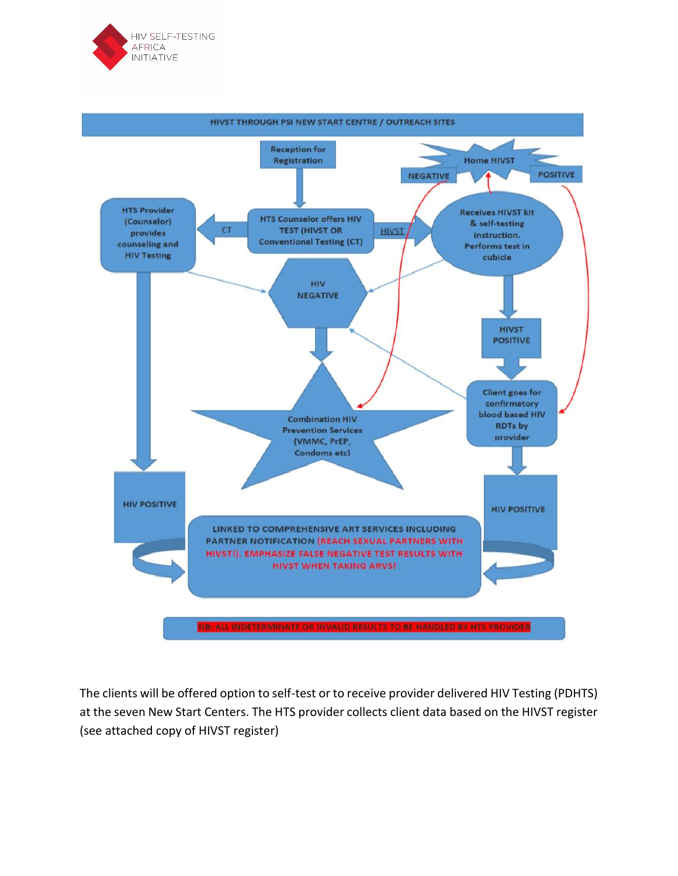



The clients will be offered option to self-test or to receive provider delivered HIV Testing (PDHTS) at the seven New Start Centers. The HTS provider collects client data based on the HIVST register (see attached copy of HIVST register)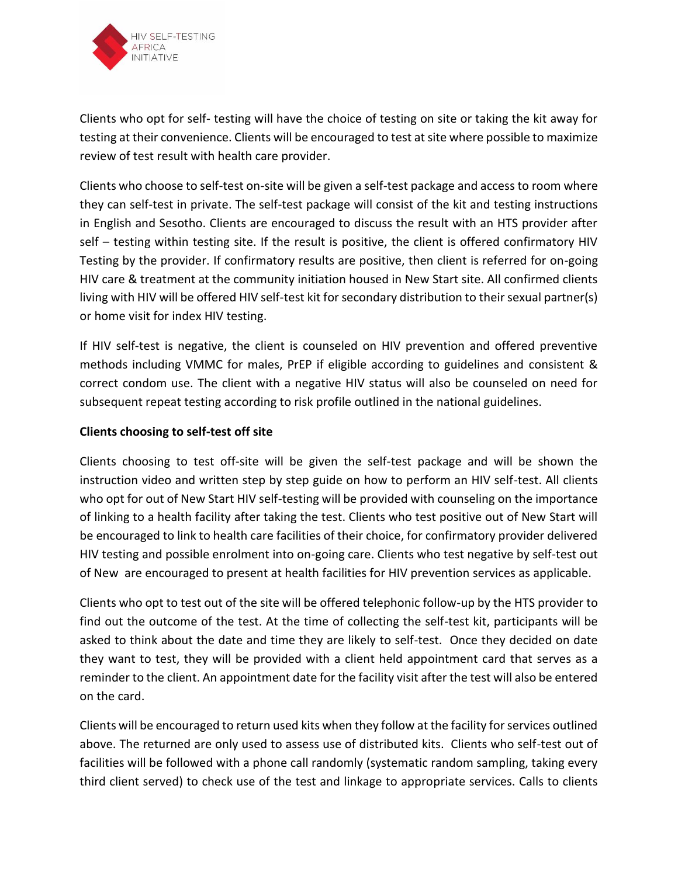

Clients who opt for self- testing will have the choice of testing on site or taking the kit away for testing at their convenience. Clients will be encouraged to test at site where possible to maximize review of test result with health care provider.

Clients who choose to self-test on-site will be given a self-test package and access to room where they can self-test in private. The self-test package will consist of the kit and testing instructions in English and Sesotho. Clients are encouraged to discuss the result with an HTS provider after self – testing within testing site. If the result is positive, the client is offered confirmatory HIV Testing by the provider. If confirmatory results are positive, then client is referred for on-going HIV care & treatment at the community initiation housed in New Start site. All confirmed clients living with HIV will be offered HIV self-test kit for secondary distribution to their sexual partner(s) or home visit for index HIV testing.

If HIV self-test is negative, the client is counseled on HIV prevention and offered preventive methods including VMMC for males, PrEP if eligible according to guidelines and consistent & correct condom use. The client with a negative HIV status will also be counseled on need for subsequent repeat testing according to risk profile outlined in the national guidelines.

### **Clients choosing to self-test off site**

Clients choosing to test off-site will be given the self-test package and will be shown the instruction video and written step by step guide on how to perform an HIV self-test. All clients who opt for out of New Start HIV self-testing will be provided with counseling on the importance of linking to a health facility after taking the test. Clients who test positive out of New Start will be encouraged to link to health care facilities of their choice, for confirmatory provider delivered HIV testing and possible enrolment into on-going care. Clients who test negative by self-test out of New are encouraged to present at health facilities for HIV prevention services as applicable.

Clients who opt to test out of the site will be offered telephonic follow-up by the HTS provider to find out the outcome of the test. At the time of collecting the self-test kit, participants will be asked to think about the date and time they are likely to self-test. Once they decided on date they want to test, they will be provided with a client held appointment card that serves as a reminder to the client. An appointment date for the facility visit after the test will also be entered on the card.

Clients will be encouraged to return used kits when they follow at the facility for services outlined above. The returned are only used to assess use of distributed kits. Clients who self-test out of facilities will be followed with a phone call randomly (systematic random sampling, taking every third client served) to check use of the test and linkage to appropriate services. Calls to clients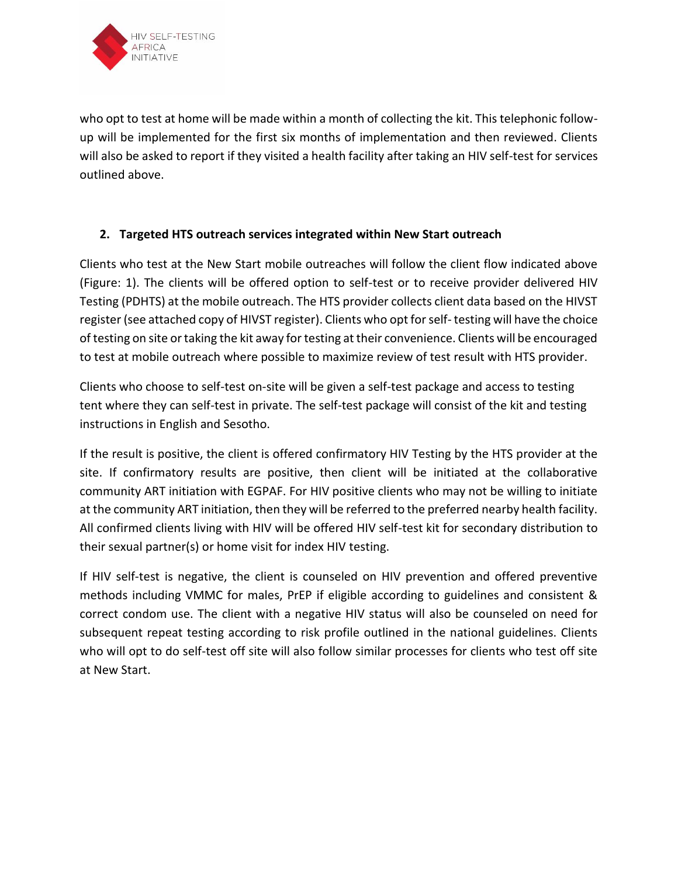

who opt to test at home will be made within a month of collecting the kit. This telephonic followup will be implemented for the first six months of implementation and then reviewed. Clients will also be asked to report if they visited a health facility after taking an HIV self-test for services outlined above.

## **2. Targeted HTS outreach services integrated within New Start outreach**

Clients who test at the New Start mobile outreaches will follow the client flow indicated above (Figure: 1). The clients will be offered option to self-test or to receive provider delivered HIV Testing (PDHTS) at the mobile outreach. The HTS provider collects client data based on the HIVST register (see attached copy of HIVST register). Clients who opt for self- testing will have the choice of testing on site or taking the kit away for testing at their convenience. Clients will be encouraged to test at mobile outreach where possible to maximize review of test result with HTS provider.

Clients who choose to self-test on-site will be given a self-test package and access to testing tent where they can self-test in private. The self-test package will consist of the kit and testing instructions in English and Sesotho.

If the result is positive, the client is offered confirmatory HIV Testing by the HTS provider at the site. If confirmatory results are positive, then client will be initiated at the collaborative community ART initiation with EGPAF. For HIV positive clients who may not be willing to initiate at the community ART initiation, then they will be referred to the preferred nearby health facility. All confirmed clients living with HIV will be offered HIV self-test kit for secondary distribution to their sexual partner(s) or home visit for index HIV testing.

If HIV self-test is negative, the client is counseled on HIV prevention and offered preventive methods including VMMC for males, PrEP if eligible according to guidelines and consistent & correct condom use. The client with a negative HIV status will also be counseled on need for subsequent repeat testing according to risk profile outlined in the national guidelines. Clients who will opt to do self-test off site will also follow similar processes for clients who test off site at New Start.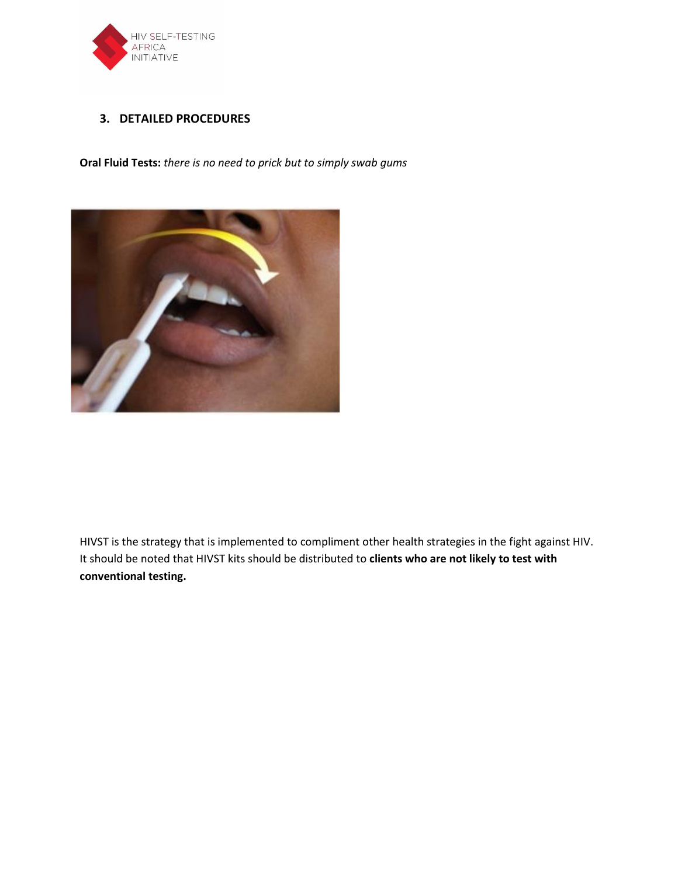

### **3. DETAILED PROCEDURES**

**Oral Fluid Tests:** *there is no need to prick but to simply swab gums*



HIVST is the strategy that is implemented to compliment other health strategies in the fight against HIV. It should be noted that HIVST kits should be distributed to **clients who are not likely to test with conventional testing.**